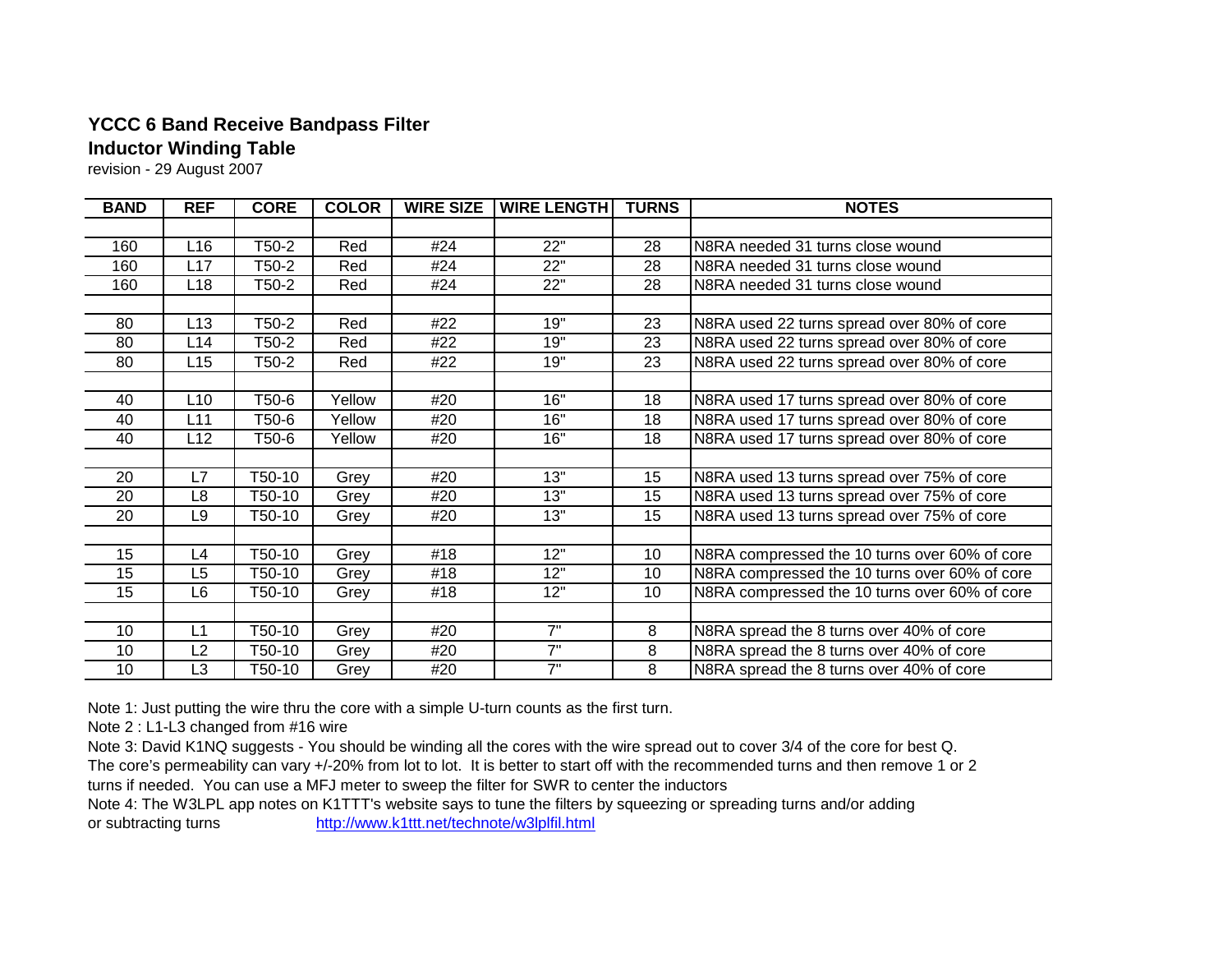## **YCCC 6 Band Receive Bandpass Filter Inductor Winding Table**

revision - 29 August 2007

| <b>BAND</b> | <b>REF</b>     | <b>CORE</b> | <b>COLOR</b> | <b>WIRE SIZE</b> | <b>WIRE LENGTH</b> | <b>TURNS</b> | <b>NOTES</b>                                  |
|-------------|----------------|-------------|--------------|------------------|--------------------|--------------|-----------------------------------------------|
|             |                |             |              |                  |                    |              |                                               |
| 160         | L16            | T50-2       | Red          | #24              | 22"                | 28           | N8RA needed 31 turns close wound              |
| 160         | L17            | T50-2       | Red          | #24              | 22"                | 28           | N8RA needed 31 turns close wound              |
| 160         | L18            | T50-2       | Red          | #24              | 22"                | 28           | N8RA needed 31 turns close wound              |
|             |                |             |              |                  |                    |              |                                               |
| 80          | L13            | T50-2       | Red          | #22              | 19"                | 23           | N8RA used 22 turns spread over 80% of core    |
| 80          | L14            | Г50-2       | Red          | #22              | 19"                | 23           | N8RA used 22 turns spread over 80% of core    |
| 80          | L15            | Г50-2       | Red          | #22              | 19"                | 23           | N8RA used 22 turns spread over 80% of core    |
|             |                |             |              |                  |                    |              |                                               |
| 40          | L10            | T50-6       | Yellow       | #20              | 16"                | 18           | N8RA used 17 turns spread over 80% of core    |
| 40          | L11            | T50-6       | Yellow       | #20              | 16"                | 18           | N8RA used 17 turns spread over 80% of core    |
| 40          | L12            | T50-6       | Yellow       | #20              | 16"                | 18           | N8RA used 17 turns spread over 80% of core    |
|             |                |             |              |                  |                    |              |                                               |
| 20          | L7             | T50-10      | Grey         | #20              | 13"                | 15           | N8RA used 13 turns spread over 75% of core    |
| 20          | L8             | T50-10      | Grey         | #20              | 13"                | 15           | N8RA used 13 turns spread over 75% of core    |
| 20          | L9             | T50-10      | Grey         | #20              | 13"                | 15           | N8RA used 13 turns spread over 75% of core    |
|             |                |             |              |                  |                    |              |                                               |
| 15          | L4             | T50-10      | Grey         | #18              | 12"                | 10           | N8RA compressed the 10 turns over 60% of core |
| 15          | L5             | T50-10      | Grey         | #18              | 12"                | 10           | N8RA compressed the 10 turns over 60% of core |
| 15          | L6             | T50-10      | Grey         | #18              | 12"                | 10           | N8RA compressed the 10 turns over 60% of core |
|             |                |             |              |                  |                    |              |                                               |
| 10          | L1             | T50-10      | Grey         | #20              | 7"                 | 8            | N8RA spread the 8 turns over 40% of core      |
| 10          | L <sub>2</sub> | T50-10      | Grey         | #20              | 7"                 | 8            | N8RA spread the 8 turns over 40% of core      |
| 10          | L <sub>3</sub> | T50-10      | Grey         | #20              | 7"                 | 8            | N8RA spread the 8 turns over 40% of core      |

Note 1: Just putting the wire thru the core with a simple U-turn counts as the first turn.

Note 2 : L1-L3 changed from #16 wire

Note 3: David K1NQ suggests - You should be winding all the cores with the wire spread out to cover 3/4 of the core for best Q.

The core's permeability can vary +/-20% from lot to lot. It is better to start off with the recommended turns and then remove 1 or 2 turns if needed. You can use a MFJ meter to sweep the filter for SWR to center the inductors

Note 4: The W3LPL app notes on K1TTT's website says to tune the filters by squeezing or spreading turns and/or adding or subtracting turns http://www.k1ttt.net/technote/w3lplfil.html